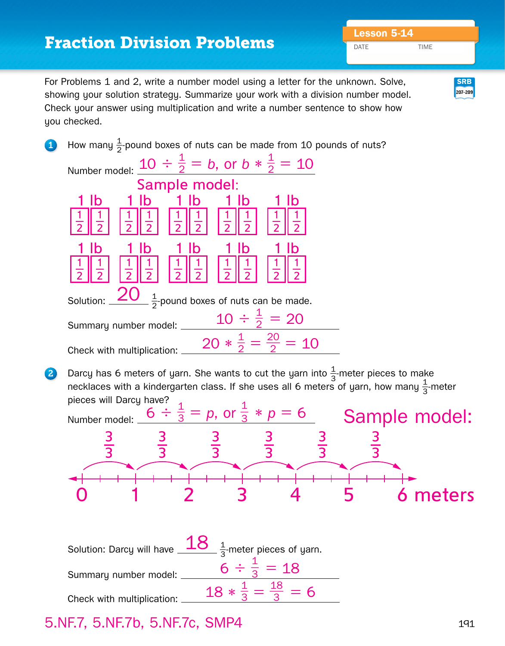## **Lesson 5-14** Fraction Division Problems

DATE TIME